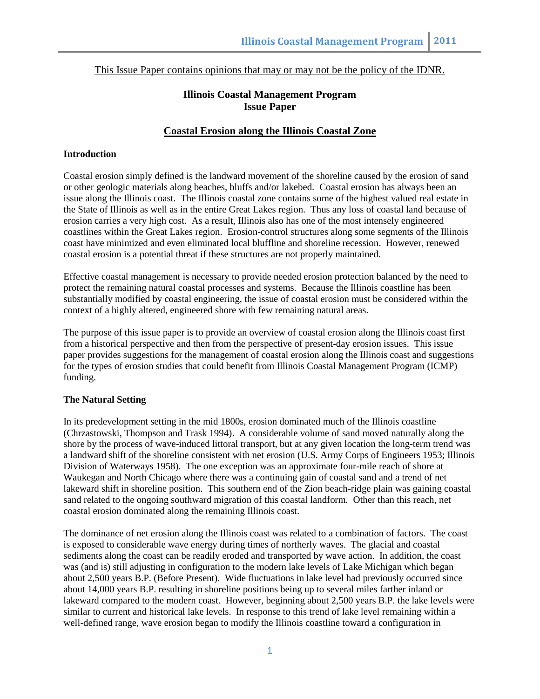This Issue Paper contains opinions that may or may not be the policy of the IDNR.

# **Illinois Coastal Management Program Issue Paper**

# **Coastal Erosion along the Illinois Coastal Zone**

## **Introduction**

Coastal erosion simply defined is the landward movement of the shoreline caused by the erosion of sand or other geologic materials along beaches, bluffs and/or lakebed. Coastal erosion has always been an issue along the Illinois coast. The Illinois coastal zone contains some of the highest valued real estate in the State of Illinois as well as in the entire Great Lakes region. Thus any loss of coastal land because of erosion carries a very high cost. As a result, Illinois also has one of the most intensely engineered coastlines within the Great Lakes region. Erosion-control structures along some segments of the Illinois coast have minimized and even eliminated local bluffline and shoreline recession. However, renewed coastal erosion is a potential threat if these structures are not properly maintained.

Effective coastal management is necessary to provide needed erosion protection balanced by the need to protect the remaining natural coastal processes and systems. Because the Illinois coastline has been substantially modified by coastal engineering, the issue of coastal erosion must be considered within the context of a highly altered, engineered shore with few remaining natural areas.

The purpose of this issue paper is to provide an overview of coastal erosion along the Illinois coast first from a historical perspective and then from the perspective of present-day erosion issues. This issue paper provides suggestions for the management of coastal erosion along the Illinois coast and suggestions for the types of erosion studies that could benefit from Illinois Coastal Management Program (ICMP) funding.

## **The Natural Setting**

In its predevelopment setting in the mid 1800s, erosion dominated much of the Illinois coastline (Chrzastowski, Thompson and Trask 1994). A considerable volume of sand moved naturally along the shore by the process of wave-induced littoral transport, but at any given location the long-term trend was a landward shift of the shoreline consistent with net erosion (U.S. Army Corps of Engineers 1953; Illinois Division of Waterways 1958). The one exception was an approximate four-mile reach of shore at Waukegan and North Chicago where there was a continuing gain of coastal sand and a trend of net lakeward shift in shoreline position. This southern end of the Zion beach-ridge plain was gaining coastal sand related to the ongoing southward migration of this coastal landform. Other than this reach, net coastal erosion dominated along the remaining Illinois coast.

The dominance of net erosion along the Illinois coast was related to a combination of factors. The coast is exposed to considerable wave energy during times of northerly waves. The glacial and coastal sediments along the coast can be readily eroded and transported by wave action. In addition, the coast was (and is) still adjusting in configuration to the modern lake levels of Lake Michigan which began about 2,500 years B.P. (Before Present). Wide fluctuations in lake level had previously occurred since about 14,000 years B.P. resulting in shoreline positions being up to several miles farther inland or lakeward compared to the modern coast. However, beginning about 2,500 years B.P. the lake levels were similar to current and historical lake levels. In response to this trend of lake level remaining within a well-defined range, wave erosion began to modify the Illinois coastline toward a configuration in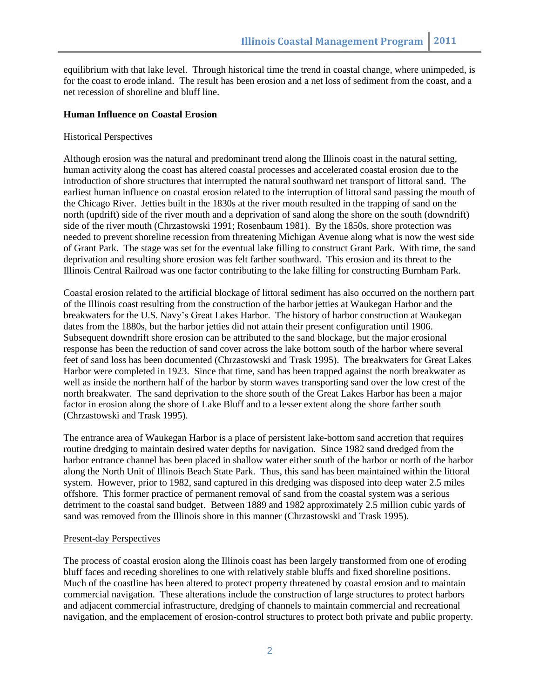equilibrium with that lake level. Through historical time the trend in coastal change, where unimpeded, is for the coast to erode inland. The result has been erosion and a net loss of sediment from the coast, and a net recession of shoreline and bluff line.

### **Human Influence on Coastal Erosion**

### Historical Perspectives

Although erosion was the natural and predominant trend along the Illinois coast in the natural setting, human activity along the coast has altered coastal processes and accelerated coastal erosion due to the introduction of shore structures that interrupted the natural southward net transport of littoral sand. The earliest human influence on coastal erosion related to the interruption of littoral sand passing the mouth of the Chicago River. Jetties built in the 1830s at the river mouth resulted in the trapping of sand on the north (updrift) side of the river mouth and a deprivation of sand along the shore on the south (downdrift) side of the river mouth (Chrzastowski 1991; Rosenbaum 1981). By the 1850s, shore protection was needed to prevent shoreline recession from threatening Michigan Avenue along what is now the west side of Grant Park. The stage was set for the eventual lake filling to construct Grant Park. With time, the sand deprivation and resulting shore erosion was felt farther southward. This erosion and its threat to the Illinois Central Railroad was one factor contributing to the lake filling for constructing Burnham Park.

Coastal erosion related to the artificial blockage of littoral sediment has also occurred on the northern part of the Illinois coast resulting from the construction of the harbor jetties at Waukegan Harbor and the breakwaters for the U.S. Navy"s Great Lakes Harbor. The history of harbor construction at Waukegan dates from the 1880s, but the harbor jetties did not attain their present configuration until 1906. Subsequent downdrift shore erosion can be attributed to the sand blockage, but the major erosional response has been the reduction of sand cover across the lake bottom south of the harbor where several feet of sand loss has been documented (Chrzastowski and Trask 1995). The breakwaters for Great Lakes Harbor were completed in 1923. Since that time, sand has been trapped against the north breakwater as well as inside the northern half of the harbor by storm waves transporting sand over the low crest of the north breakwater. The sand deprivation to the shore south of the Great Lakes Harbor has been a major factor in erosion along the shore of Lake Bluff and to a lesser extent along the shore farther south (Chrzastowski and Trask 1995).

The entrance area of Waukegan Harbor is a place of persistent lake-bottom sand accretion that requires routine dredging to maintain desired water depths for navigation. Since 1982 sand dredged from the harbor entrance channel has been placed in shallow water either south of the harbor or north of the harbor along the North Unit of Illinois Beach State Park. Thus, this sand has been maintained within the littoral system. However, prior to 1982, sand captured in this dredging was disposed into deep water 2.5 miles offshore. This former practice of permanent removal of sand from the coastal system was a serious detriment to the coastal sand budget. Between 1889 and 1982 approximately 2.5 million cubic yards of sand was removed from the Illinois shore in this manner (Chrzastowski and Trask 1995).

#### Present-day Perspectives

The process of coastal erosion along the Illinois coast has been largely transformed from one of eroding bluff faces and receding shorelines to one with relatively stable bluffs and fixed shoreline positions. Much of the coastline has been altered to protect property threatened by coastal erosion and to maintain commercial navigation. These alterations include the construction of large structures to protect harbors and adjacent commercial infrastructure, dredging of channels to maintain commercial and recreational navigation, and the emplacement of erosion-control structures to protect both private and public property.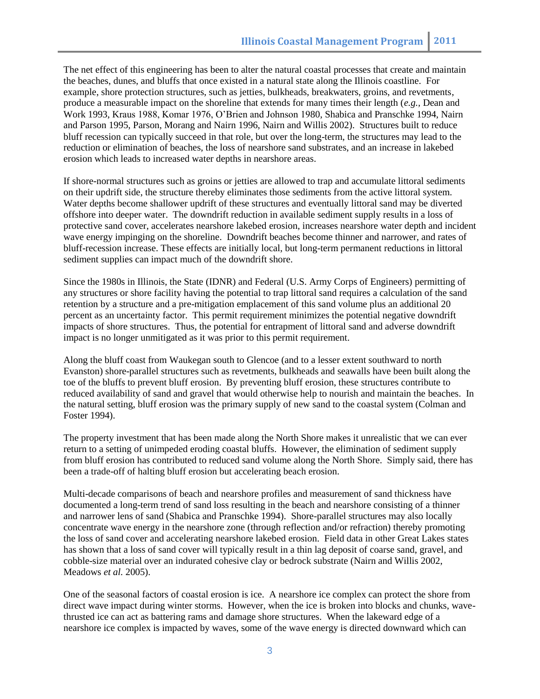The net effect of this engineering has been to alter the natural coastal processes that create and maintain the beaches, dunes, and bluffs that once existed in a natural state along the Illinois coastline. For example, shore protection structures, such as jetties, bulkheads, breakwaters, groins, and revetments, produce a measurable impact on the shoreline that extends for many times their length (*e.g.,* Dean and Work 1993, Kraus 1988, Komar 1976, O"Brien and Johnson 1980, Shabica and Pranschke 1994, Nairn and Parson 1995, Parson, Morang and Nairn 1996, Nairn and Willis 2002). Structures built to reduce bluff recession can typically succeed in that role, but over the long-term, the structures may lead to the reduction or elimination of beaches, the loss of nearshore sand substrates, and an increase in lakebed erosion which leads to increased water depths in nearshore areas.

If shore-normal structures such as groins or jetties are allowed to trap and accumulate littoral sediments on their updrift side, the structure thereby eliminates those sediments from the active littoral system. Water depths become shallower updrift of these structures and eventually littoral sand may be diverted offshore into deeper water. The downdrift reduction in available sediment supply results in a loss of protective sand cover, accelerates nearshore lakebed erosion, increases nearshore water depth and incident wave energy impinging on the shoreline. Downdrift beaches become thinner and narrower, and rates of bluff-recession increase. These effects are initially local, but long-term permanent reductions in littoral sediment supplies can impact much of the downdrift shore.

Since the 1980s in Illinois, the State (IDNR) and Federal (U.S. Army Corps of Engineers) permitting of any structures or shore facility having the potential to trap littoral sand requires a calculation of the sand retention by a structure and a pre-mitigation emplacement of this sand volume plus an additional 20 percent as an uncertainty factor. This permit requirement minimizes the potential negative downdrift impacts of shore structures. Thus, the potential for entrapment of littoral sand and adverse downdrift impact is no longer unmitigated as it was prior to this permit requirement.

Along the bluff coast from Waukegan south to Glencoe (and to a lesser extent southward to north Evanston) shore-parallel structures such as revetments, bulkheads and seawalls have been built along the toe of the bluffs to prevent bluff erosion. By preventing bluff erosion, these structures contribute to reduced availability of sand and gravel that would otherwise help to nourish and maintain the beaches. In the natural setting, bluff erosion was the primary supply of new sand to the coastal system (Colman and Foster 1994).

The property investment that has been made along the North Shore makes it unrealistic that we can ever return to a setting of unimpeded eroding coastal bluffs. However, the elimination of sediment supply from bluff erosion has contributed to reduced sand volume along the North Shore. Simply said, there has been a trade-off of halting bluff erosion but accelerating beach erosion.

Multi-decade comparisons of beach and nearshore profiles and measurement of sand thickness have documented a long-term trend of sand loss resulting in the beach and nearshore consisting of a thinner and narrower lens of sand (Shabica and Pranschke 1994). Shore-parallel structures may also locally concentrate wave energy in the nearshore zone (through reflection and/or refraction) thereby promoting the loss of sand cover and accelerating nearshore lakebed erosion. Field data in other Great Lakes states has shown that a loss of sand cover will typically result in a thin lag deposit of coarse sand, gravel, and cobble-size material over an indurated cohesive clay or bedrock substrate (Nairn and Willis 2002, Meadows *et al.* 2005).

One of the seasonal factors of coastal erosion is ice. A nearshore ice complex can protect the shore from direct wave impact during winter storms. However, when the ice is broken into blocks and chunks, wavethrusted ice can act as battering rams and damage shore structures. When the lakeward edge of a nearshore ice complex is impacted by waves, some of the wave energy is directed downward which can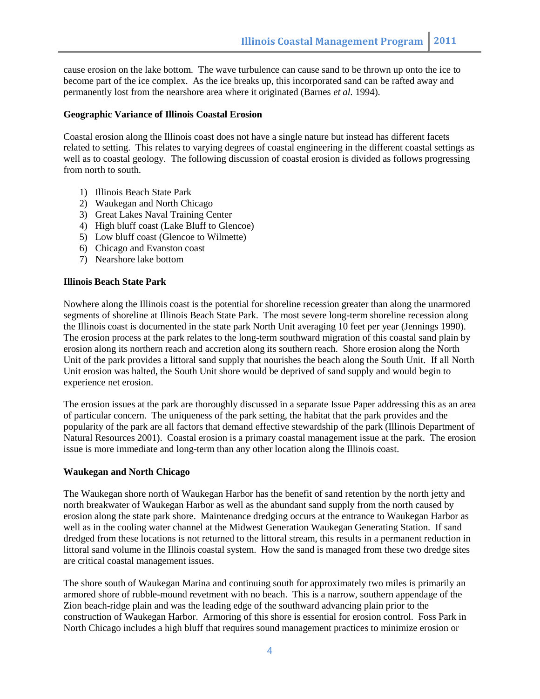cause erosion on the lake bottom. The wave turbulence can cause sand to be thrown up onto the ice to become part of the ice complex. As the ice breaks up, this incorporated sand can be rafted away and permanently lost from the nearshore area where it originated (Barnes *et al.* 1994).

#### **Geographic Variance of Illinois Coastal Erosion**

Coastal erosion along the Illinois coast does not have a single nature but instead has different facets related to setting. This relates to varying degrees of coastal engineering in the different coastal settings as well as to coastal geology. The following discussion of coastal erosion is divided as follows progressing from north to south.

- 1) Illinois Beach State Park
- 2) Waukegan and North Chicago
- 3) Great Lakes Naval Training Center
- 4) High bluff coast (Lake Bluff to Glencoe)
- 5) Low bluff coast (Glencoe to Wilmette)
- 6) Chicago and Evanston coast
- 7) Nearshore lake bottom

### **Illinois Beach State Park**

Nowhere along the Illinois coast is the potential for shoreline recession greater than along the unarmored segments of shoreline at Illinois Beach State Park. The most severe long-term shoreline recession along the Illinois coast is documented in the state park North Unit averaging 10 feet per year (Jennings 1990). The erosion process at the park relates to the long-term southward migration of this coastal sand plain by erosion along its northern reach and accretion along its southern reach. Shore erosion along the North Unit of the park provides a littoral sand supply that nourishes the beach along the South Unit. If all North Unit erosion was halted, the South Unit shore would be deprived of sand supply and would begin to experience net erosion.

The erosion issues at the park are thoroughly discussed in a separate Issue Paper addressing this as an area of particular concern. The uniqueness of the park setting, the habitat that the park provides and the popularity of the park are all factors that demand effective stewardship of the park (Illinois Department of Natural Resources 2001). Coastal erosion is a primary coastal management issue at the park. The erosion issue is more immediate and long-term than any other location along the Illinois coast.

#### **Waukegan and North Chicago**

The Waukegan shore north of Waukegan Harbor has the benefit of sand retention by the north jetty and north breakwater of Waukegan Harbor as well as the abundant sand supply from the north caused by erosion along the state park shore. Maintenance dredging occurs at the entrance to Waukegan Harbor as well as in the cooling water channel at the Midwest Generation Waukegan Generating Station. If sand dredged from these locations is not returned to the littoral stream, this results in a permanent reduction in littoral sand volume in the Illinois coastal system. How the sand is managed from these two dredge sites are critical coastal management issues.

The shore south of Waukegan Marina and continuing south for approximately two miles is primarily an armored shore of rubble-mound revetment with no beach. This is a narrow, southern appendage of the Zion beach-ridge plain and was the leading edge of the southward advancing plain prior to the construction of Waukegan Harbor. Armoring of this shore is essential for erosion control. Foss Park in North Chicago includes a high bluff that requires sound management practices to minimize erosion or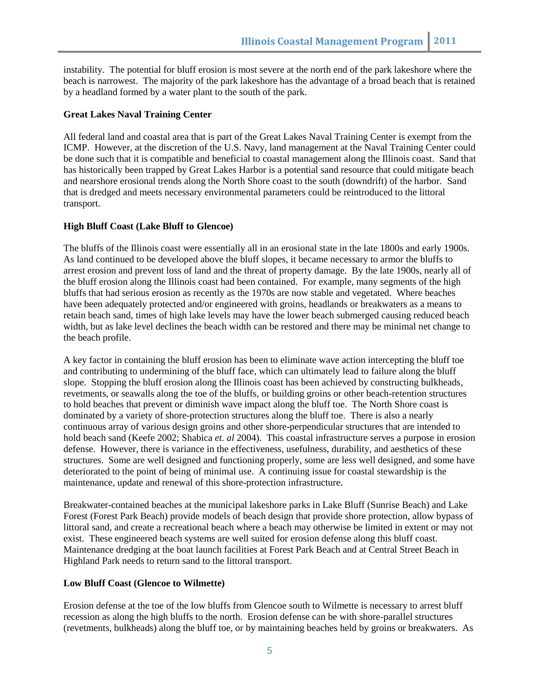instability. The potential for bluff erosion is most severe at the north end of the park lakeshore where the beach is narrowest. The majority of the park lakeshore has the advantage of a broad beach that is retained by a headland formed by a water plant to the south of the park.

## **Great Lakes Naval Training Center**

All federal land and coastal area that is part of the Great Lakes Naval Training Center is exempt from the ICMP. However, at the discretion of the U.S. Navy, land management at the Naval Training Center could be done such that it is compatible and beneficial to coastal management along the Illinois coast. Sand that has historically been trapped by Great Lakes Harbor is a potential sand resource that could mitigate beach and nearshore erosional trends along the North Shore coast to the south (downdrift) of the harbor. Sand that is dredged and meets necessary environmental parameters could be reintroduced to the littoral transport.

## **High Bluff Coast (Lake Bluff to Glencoe)**

The bluffs of the Illinois coast were essentially all in an erosional state in the late 1800s and early 1900s. As land continued to be developed above the bluff slopes, it became necessary to armor the bluffs to arrest erosion and prevent loss of land and the threat of property damage. By the late 1900s, nearly all of the bluff erosion along the Illinois coast had been contained. For example, many segments of the high bluffs that had serious erosion as recently as the 1970s are now stable and vegetated. Where beaches have been adequately protected and/or engineered with groins, headlands or breakwaters as a means to retain beach sand, times of high lake levels may have the lower beach submerged causing reduced beach width, but as lake level declines the beach width can be restored and there may be minimal net change to the beach profile.

A key factor in containing the bluff erosion has been to eliminate wave action intercepting the bluff toe and contributing to undermining of the bluff face, which can ultimately lead to failure along the bluff slope. Stopping the bluff erosion along the Illinois coast has been achieved by constructing bulkheads, revetments, or seawalls along the toe of the bluffs, or building groins or other beach-retention structures to hold beaches that prevent or diminish wave impact along the bluff toe. The North Shore coast is dominated by a variety of shore-protection structures along the bluff toe. There is also a nearly continuous array of various design groins and other shore-perpendicular structures that are intended to hold beach sand (Keefe 2002; Shabica *et. al* 2004). This coastal infrastructure serves a purpose in erosion defense. However, there is variance in the effectiveness, usefulness, durability, and aesthetics of these structures. Some are well designed and functioning properly, some are less well designed, and some have deteriorated to the point of being of minimal use. A continuing issue for coastal stewardship is the maintenance, update and renewal of this shore-protection infrastructure.

Breakwater-contained beaches at the municipal lakeshore parks in Lake Bluff (Sunrise Beach) and Lake Forest (Forest Park Beach) provide models of beach design that provide shore protection, allow bypass of littoral sand, and create a recreational beach where a beach may otherwise be limited in extent or may not exist. These engineered beach systems are well suited for erosion defense along this bluff coast. Maintenance dredging at the boat launch facilities at Forest Park Beach and at Central Street Beach in Highland Park needs to return sand to the littoral transport.

#### **Low Bluff Coast (Glencoe to Wilmette)**

Erosion defense at the toe of the low bluffs from Glencoe south to Wilmette is necessary to arrest bluff recession as along the high bluffs to the north. Erosion defense can be with shore-parallel structures (revetments, bulkheads) along the bluff toe, or by maintaining beaches held by groins or breakwaters. As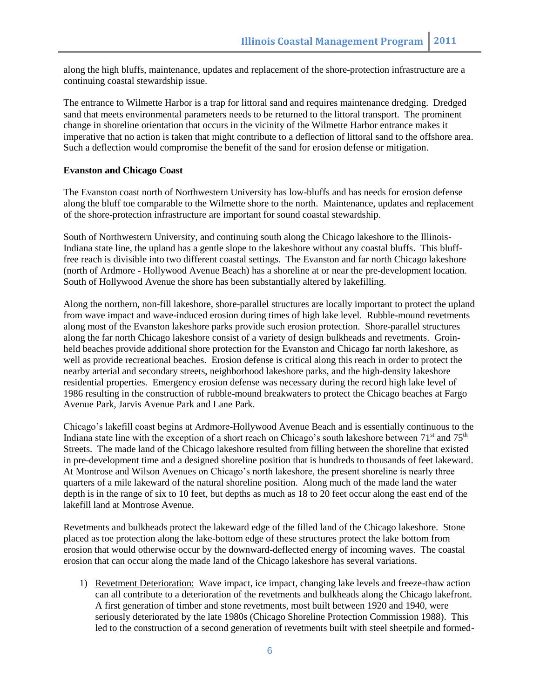along the high bluffs, maintenance, updates and replacement of the shore-protection infrastructure are a continuing coastal stewardship issue.

The entrance to Wilmette Harbor is a trap for littoral sand and requires maintenance dredging. Dredged sand that meets environmental parameters needs to be returned to the littoral transport. The prominent change in shoreline orientation that occurs in the vicinity of the Wilmette Harbor entrance makes it imperative that no action is taken that might contribute to a deflection of littoral sand to the offshore area. Such a deflection would compromise the benefit of the sand for erosion defense or mitigation.

#### **Evanston and Chicago Coast**

The Evanston coast north of Northwestern University has low-bluffs and has needs for erosion defense along the bluff toe comparable to the Wilmette shore to the north. Maintenance, updates and replacement of the shore-protection infrastructure are important for sound coastal stewardship.

South of Northwestern University, and continuing south along the Chicago lakeshore to the Illinois-Indiana state line, the upland has a gentle slope to the lakeshore without any coastal bluffs. This blufffree reach is divisible into two different coastal settings. The Evanston and far north Chicago lakeshore (north of Ardmore - Hollywood Avenue Beach) has a shoreline at or near the pre-development location. South of Hollywood Avenue the shore has been substantially altered by lakefilling.

Along the northern, non-fill lakeshore, shore-parallel structures are locally important to protect the upland from wave impact and wave-induced erosion during times of high lake level. Rubble-mound revetments along most of the Evanston lakeshore parks provide such erosion protection. Shore-parallel structures along the far north Chicago lakeshore consist of a variety of design bulkheads and revetments. Groinheld beaches provide additional shore protection for the Evanston and Chicago far north lakeshore, as well as provide recreational beaches. Erosion defense is critical along this reach in order to protect the nearby arterial and secondary streets, neighborhood lakeshore parks, and the high-density lakeshore residential properties. Emergency erosion defense was necessary during the record high lake level of 1986 resulting in the construction of rubble-mound breakwaters to protect the Chicago beaches at Fargo Avenue Park, Jarvis Avenue Park and Lane Park.

Chicago"s lakefill coast begins at Ardmore-Hollywood Avenue Beach and is essentially continuous to the Indiana state line with the exception of a short reach on Chicago's south lakeshore between  $71<sup>st</sup>$  and  $75<sup>th</sup>$ Streets. The made land of the Chicago lakeshore resulted from filling between the shoreline that existed in pre-development time and a designed shoreline position that is hundreds to thousands of feet lakeward. At Montrose and Wilson Avenues on Chicago"s north lakeshore, the present shoreline is nearly three quarters of a mile lakeward of the natural shoreline position. Along much of the made land the water depth is in the range of six to 10 feet, but depths as much as 18 to 20 feet occur along the east end of the lakefill land at Montrose Avenue.

Revetments and bulkheads protect the lakeward edge of the filled land of the Chicago lakeshore. Stone placed as toe protection along the lake-bottom edge of these structures protect the lake bottom from erosion that would otherwise occur by the downward-deflected energy of incoming waves. The coastal erosion that can occur along the made land of the Chicago lakeshore has several variations.

1) Revetment Deterioration: Wave impact, ice impact, changing lake levels and freeze-thaw action can all contribute to a deterioration of the revetments and bulkheads along the Chicago lakefront. A first generation of timber and stone revetments, most built between 1920 and 1940, were seriously deteriorated by the late 1980s (Chicago Shoreline Protection Commission 1988). This led to the construction of a second generation of revetments built with steel sheetpile and formed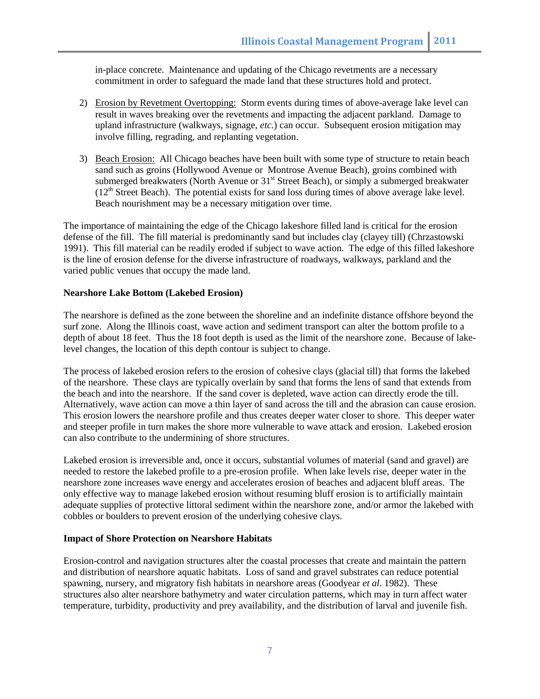in-place concrete. Maintenance and updating of the Chicago revetments are a necessary commitment in order to safeguard the made land that these structures hold and protect.

- 2) Erosion by Revetment Overtopping: Storm events during times of above-average lake level can result in waves breaking over the revetments and impacting the adjacent parkland. Damage to upland infrastructure (walkways, signage, *etc.*) can occur. Subsequent erosion mitigation may involve filling, regrading, and replanting vegetation.
- 3) Beach Erosion: All Chicago beaches have been built with some type of structure to retain beach sand such as groins (Hollywood Avenue or Montrose Avenue Beach), groins combined with submerged breakwaters (North Avenue or  $31<sup>st</sup>$  Street Beach), or simply a submerged breakwater  $(12<sup>th</sup> Street Beach)$ . The potential exists for sand loss during times of above average lake level. Beach nourishment may be a necessary mitigation over time.

The importance of maintaining the edge of the Chicago lakeshore filled land is critical for the erosion defense of the fill. The fill material is predominantly sand but includes clay (clayey till) (Chrzastowski 1991). This fill material can be readily eroded if subject to wave action. The edge of this filled lakeshore is the line of erosion defense for the diverse infrastructure of roadways, walkways, parkland and the varied public venues that occupy the made land.

## **Nearshore Lake Bottom (Lakebed Erosion)**

The nearshore is defined as the zone between the shoreline and an indefinite distance offshore beyond the surf zone. Along the Illinois coast, wave action and sediment transport can alter the bottom profile to a depth of about 18 feet. Thus the 18 foot depth is used as the limit of the nearshore zone. Because of lakelevel changes, the location of this depth contour is subject to change.

The process of lakebed erosion refers to the erosion of cohesive clays (glacial till) that forms the lakebed of the nearshore. These clays are typically overlain by sand that forms the lens of sand that extends from the beach and into the nearshore. If the sand cover is depleted, wave action can directly erode the till. Alternatively, wave action can move a thin layer of sand across the till and the abrasion can cause erosion. This erosion lowers the nearshore profile and thus creates deeper water closer to shore. This deeper water and steeper profile in turn makes the shore more vulnerable to wave attack and erosion. Lakebed erosion can also contribute to the undermining of shore structures.

Lakebed erosion is irreversible and, once it occurs, substantial volumes of material (sand and gravel) are needed to restore the lakebed profile to a pre-erosion profile. When lake levels rise, deeper water in the nearshore zone increases wave energy and accelerates erosion of beaches and adjacent bluff areas. The only effective way to manage lakebed erosion without resuming bluff erosion is to artificially maintain adequate supplies of protective littoral sediment within the nearshore zone, and/or armor the lakebed with cobbles or boulders to prevent erosion of the underlying cohesive clays.

## **Impact of Shore Protection on Nearshore Habitats**

Erosion-control and navigation structures alter the coastal processes that create and maintain the pattern and distribution of nearshore aquatic habitats. Loss of sand and gravel substrates can reduce potential spawning, nursery, and migratory fish habitats in nearshore areas (Goodyear *et al*. 1982). These structures also alter nearshore bathymetry and water circulation patterns, which may in turn affect water temperature, turbidity, productivity and prey availability, and the distribution of larval and juvenile fish.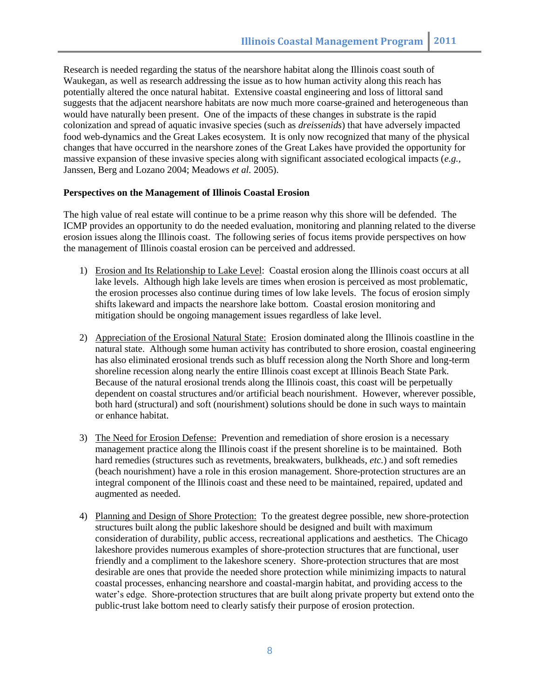Research is needed regarding the status of the nearshore habitat along the Illinois coast south of Waukegan, as well as research addressing the issue as to how human activity along this reach has potentially altered the once natural habitat. Extensive coastal engineering and loss of littoral sand suggests that the adjacent nearshore habitats are now much more coarse-grained and heterogeneous than would have naturally been present. One of the impacts of these changes in substrate is the rapid colonization and spread of aquatic invasive species (such as *dreissenids*) that have adversely impacted food web-dynamics and the Great Lakes ecosystem. It is only now recognized that many of the physical changes that have occurred in the nearshore zones of the Great Lakes have provided the opportunity for massive expansion of these invasive species along with significant associated ecological impacts (*e.g.,* Janssen, Berg and Lozano 2004; Meadows *et al.* 2005).

## **Perspectives on the Management of Illinois Coastal Erosion**

The high value of real estate will continue to be a prime reason why this shore will be defended. The ICMP provides an opportunity to do the needed evaluation, monitoring and planning related to the diverse erosion issues along the Illinois coast. The following series of focus items provide perspectives on how the management of Illinois coastal erosion can be perceived and addressed.

- 1) Erosion and Its Relationship to Lake Level: Coastal erosion along the Illinois coast occurs at all lake levels. Although high lake levels are times when erosion is perceived as most problematic, the erosion processes also continue during times of low lake levels. The focus of erosion simply shifts lakeward and impacts the nearshore lake bottom. Coastal erosion monitoring and mitigation should be ongoing management issues regardless of lake level.
- 2) Appreciation of the Erosional Natural State: Erosion dominated along the Illinois coastline in the natural state. Although some human activity has contributed to shore erosion, coastal engineering has also eliminated erosional trends such as bluff recession along the North Shore and long-term shoreline recession along nearly the entire Illinois coast except at Illinois Beach State Park. Because of the natural erosional trends along the Illinois coast, this coast will be perpetually dependent on coastal structures and/or artificial beach nourishment. However, wherever possible, both hard (structural) and soft (nourishment) solutions should be done in such ways to maintain or enhance habitat.
- 3) The Need for Erosion Defense: Prevention and remediation of shore erosion is a necessary management practice along the Illinois coast if the present shoreline is to be maintained. Both hard remedies (structures such as revetments, breakwaters, bulkheads, *etc.*) and soft remedies (beach nourishment) have a role in this erosion management. Shore-protection structures are an integral component of the Illinois coast and these need to be maintained, repaired, updated and augmented as needed.
- 4) Planning and Design of Shore Protection: To the greatest degree possible, new shore-protection structures built along the public lakeshore should be designed and built with maximum consideration of durability, public access, recreational applications and aesthetics. The Chicago lakeshore provides numerous examples of shore-protection structures that are functional, user friendly and a compliment to the lakeshore scenery. Shore-protection structures that are most desirable are ones that provide the needed shore protection while minimizing impacts to natural coastal processes, enhancing nearshore and coastal-margin habitat, and providing access to the water's edge. Shore-protection structures that are built along private property but extend onto the public-trust lake bottom need to clearly satisfy their purpose of erosion protection.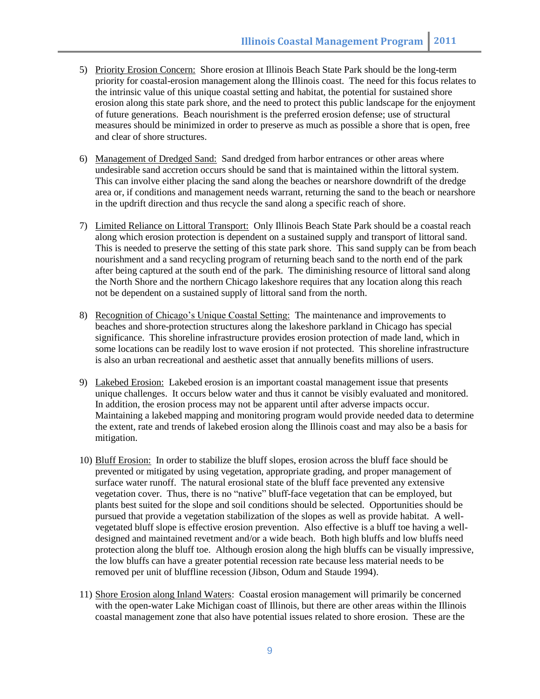- 5) Priority Erosion Concern: Shore erosion at Illinois Beach State Park should be the long-term priority for coastal-erosion management along the Illinois coast. The need for this focus relates to the intrinsic value of this unique coastal setting and habitat, the potential for sustained shore erosion along this state park shore, and the need to protect this public landscape for the enjoyment of future generations. Beach nourishment is the preferred erosion defense; use of structural measures should be minimized in order to preserve as much as possible a shore that is open, free and clear of shore structures.
- 6) Management of Dredged Sand: Sand dredged from harbor entrances or other areas where undesirable sand accretion occurs should be sand that is maintained within the littoral system. This can involve either placing the sand along the beaches or nearshore downdrift of the dredge area or, if conditions and management needs warrant, returning the sand to the beach or nearshore in the updrift direction and thus recycle the sand along a specific reach of shore.
- 7) Limited Reliance on Littoral Transport: Only Illinois Beach State Park should be a coastal reach along which erosion protection is dependent on a sustained supply and transport of littoral sand. This is needed to preserve the setting of this state park shore. This sand supply can be from beach nourishment and a sand recycling program of returning beach sand to the north end of the park after being captured at the south end of the park. The diminishing resource of littoral sand along the North Shore and the northern Chicago lakeshore requires that any location along this reach not be dependent on a sustained supply of littoral sand from the north.
- 8) Recognition of Chicago's Unique Coastal Setting: The maintenance and improvements to beaches and shore-protection structures along the lakeshore parkland in Chicago has special significance. This shoreline infrastructure provides erosion protection of made land, which in some locations can be readily lost to wave erosion if not protected. This shoreline infrastructure is also an urban recreational and aesthetic asset that annually benefits millions of users.
- 9) Lakebed Erosion: Lakebed erosion is an important coastal management issue that presents unique challenges. It occurs below water and thus it cannot be visibly evaluated and monitored. In addition, the erosion process may not be apparent until after adverse impacts occur. Maintaining a lakebed mapping and monitoring program would provide needed data to determine the extent, rate and trends of lakebed erosion along the Illinois coast and may also be a basis for mitigation.
- 10) Bluff Erosion: In order to stabilize the bluff slopes, erosion across the bluff face should be prevented or mitigated by using vegetation, appropriate grading, and proper management of surface water runoff. The natural erosional state of the bluff face prevented any extensive vegetation cover. Thus, there is no "native" bluff-face vegetation that can be employed, but plants best suited for the slope and soil conditions should be selected. Opportunities should be pursued that provide a vegetation stabilization of the slopes as well as provide habitat. A wellvegetated bluff slope is effective erosion prevention. Also effective is a bluff toe having a welldesigned and maintained revetment and/or a wide beach. Both high bluffs and low bluffs need protection along the bluff toe. Although erosion along the high bluffs can be visually impressive, the low bluffs can have a greater potential recession rate because less material needs to be removed per unit of bluffline recession (Jibson, Odum and Staude 1994).
- 11) Shore Erosion along Inland Waters: Coastal erosion management will primarily be concerned with the open-water Lake Michigan coast of Illinois, but there are other areas within the Illinois coastal management zone that also have potential issues related to shore erosion. These are the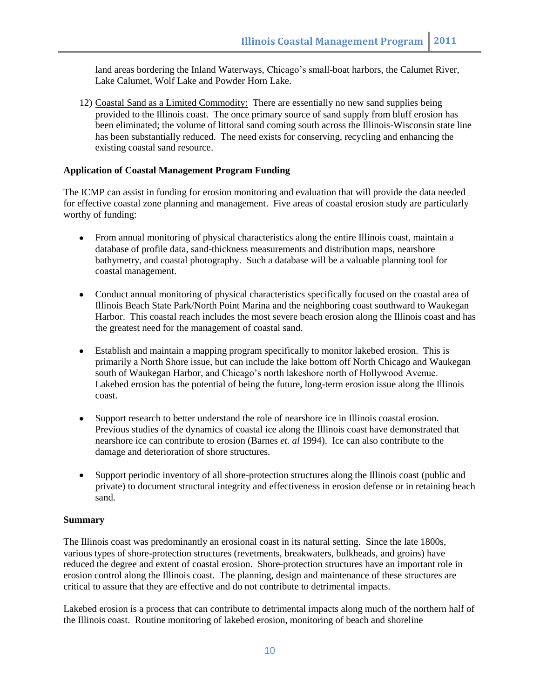land areas bordering the Inland Waterways, Chicago's small-boat harbors, the Calumet River, Lake Calumet, Wolf Lake and Powder Horn Lake.

12) Coastal Sand as a Limited Commodity: There are essentially no new sand supplies being provided to the Illinois coast. The once primary source of sand supply from bluff erosion has been eliminated; the volume of littoral sand coming south across the Illinois-Wisconsin state line has been substantially reduced. The need exists for conserving, recycling and enhancing the existing coastal sand resource.

## **Application of Coastal Management Program Funding**

The ICMP can assist in funding for erosion monitoring and evaluation that will provide the data needed for effective coastal zone planning and management. Five areas of coastal erosion study are particularly worthy of funding:

- From annual monitoring of physical characteristics along the entire Illinois coast, maintain a database of profile data, sand-thickness measurements and distribution maps, nearshore bathymetry, and coastal photography. Such a database will be a valuable planning tool for coastal management.
- Conduct annual monitoring of physical characteristics specifically focused on the coastal area of Illinois Beach State Park/North Point Marina and the neighboring coast southward to Waukegan Harbor. This coastal reach includes the most severe beach erosion along the Illinois coast and has the greatest need for the management of coastal sand.
- Establish and maintain a mapping program specifically to monitor lakebed erosion. This is  $\bullet$ primarily a North Shore issue, but can include the lake bottom off North Chicago and Waukegan south of Waukegan Harbor, and Chicago"s north lakeshore north of Hollywood Avenue. Lakebed erosion has the potential of being the future, long-term erosion issue along the Illinois coast.
- Support research to better understand the role of nearshore ice in Illinois coastal erosion.  $\bullet$ Previous studies of the dynamics of coastal ice along the Illinois coast have demonstrated that nearshore ice can contribute to erosion (Barnes *et. al* 1994). Ice can also contribute to the damage and deterioration of shore structures.
- Support periodic inventory of all shore-protection structures along the Illinois coast (public and  $\bullet$ private) to document structural integrity and effectiveness in erosion defense or in retaining beach sand.

#### **Summary**

The Illinois coast was predominantly an erosional coast in its natural setting. Since the late 1800s, various types of shore-protection structures (revetments, breakwaters, bulkheads, and groins) have reduced the degree and extent of coastal erosion. Shore-protection structures have an important role in erosion control along the Illinois coast. The planning, design and maintenance of these structures are critical to assure that they are effective and do not contribute to detrimental impacts.

Lakebed erosion is a process that can contribute to detrimental impacts along much of the northern half of the Illinois coast. Routine monitoring of lakebed erosion, monitoring of beach and shoreline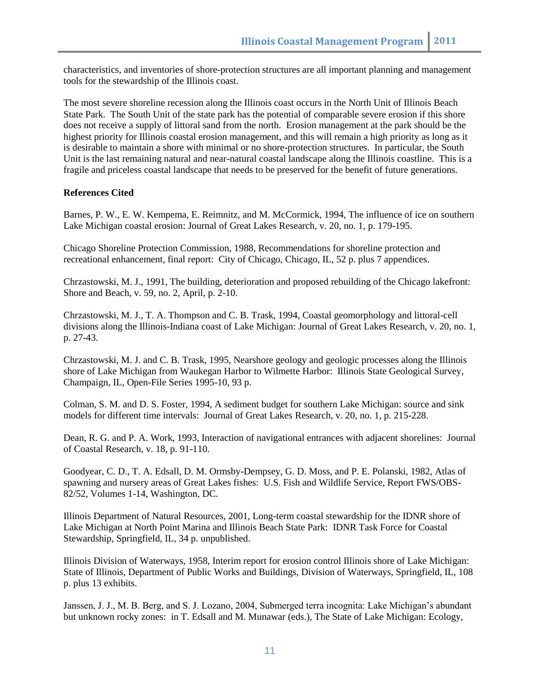characteristics, and inventories of shore-protection structures are all important planning and management tools for the stewardship of the Illinois coast.

The most severe shoreline recession along the Illinois coast occurs in the North Unit of Illinois Beach State Park. The South Unit of the state park has the potential of comparable severe erosion if this shore does not receive a supply of littoral sand from the north. Erosion management at the park should be the highest priority for Illinois coastal erosion management, and this will remain a high priority as long as it is desirable to maintain a shore with minimal or no shore-protection structures. In particular, the South Unit is the last remaining natural and near-natural coastal landscape along the Illinois coastline. This is a fragile and priceless coastal landscape that needs to be preserved for the benefit of future generations.

#### **References Cited**

Barnes, P. W., E. W. Kempema, E. Reimnitz, and M. McCormick, 1994, The influence of ice on southern Lake Michigan coastal erosion: Journal of Great Lakes Research, v. 20, no. 1, p. 179-195.

Chicago Shoreline Protection Commission, 1988, Recommendations for shoreline protection and recreational enhancement, final report: City of Chicago, Chicago, IL, 52 p. plus 7 appendices.

Chrzastowski, M. J., 1991, The building, deterioration and proposed rebuilding of the Chicago lakefront: Shore and Beach, v. 59, no. 2, April, p. 2-10.

Chrzastowski, M. J., T. A. Thompson and C. B. Trask, 1994, Coastal geomorphology and littoral-cell divisions along the Illinois-Indiana coast of Lake Michigan: Journal of Great Lakes Research, v. 20, no. 1, p. 27-43.

Chrzastowski, M. J. and C. B. Trask, 1995, Nearshore geology and geologic processes along the Illinois shore of Lake Michigan from Waukegan Harbor to Wilmette Harbor: Illinois State Geological Survey, Champaign, IL, Open-File Series 1995-10, 93 p.

Colman, S. M. and D. S. Foster, 1994, A sediment budget for southern Lake Michigan: source and sink models for different time intervals: Journal of Great Lakes Research, v. 20, no. 1, p. 215-228.

Dean, R. G. and P. A. Work, 1993, Interaction of navigational entrances with adjacent shorelines: Journal of Coastal Research, v. 18, p. 91-110.

Goodyear, C. D., T. A. Edsall, D. M. Ormsby-Dempsey, G. D. Moss, and P. E. Polanski, 1982, Atlas of spawning and nursery areas of Great Lakes fishes: U.S. Fish and Wildlife Service, Report FWS/OBS-82/52, Volumes 1-14, Washington, DC.

Illinois Department of Natural Resources, 2001, Long-term coastal stewardship for the IDNR shore of Lake Michigan at North Point Marina and Illinois Beach State Park: IDNR Task Force for Coastal Stewardship, Springfield, IL, 34 p. unpublished.

Illinois Division of Waterways, 1958, Interim report for erosion control Illinois shore of Lake Michigan: State of Illinois, Department of Public Works and Buildings, Division of Waterways, Springfield, IL, 108 p. plus 13 exhibits.

Janssen, J. J., M. B. Berg, and S. J. Lozano, 2004, Submerged terra incognita: Lake Michigan"s abundant but unknown rocky zones: in T. Edsall and M. Munawar (eds.), The State of Lake Michigan: Ecology,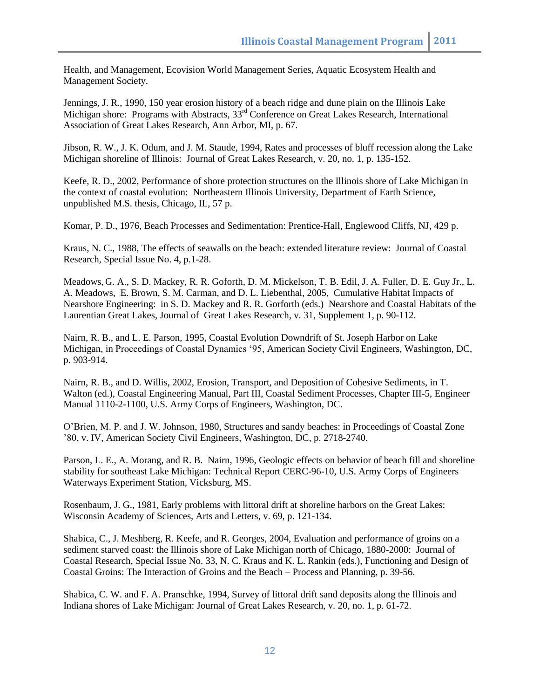Health, and Management*,* Ecovision World Management Series, Aquatic Ecosystem Health and Management Society.

Jennings, J. R., 1990, 150 year erosion history of a beach ridge and dune plain on the Illinois Lake Michigan shore: Programs with Abstracts,  $33<sup>rd</sup>$  Conference on Great Lakes Research, International Association of Great Lakes Research, Ann Arbor, MI, p. 67.

Jibson, R. W., J. K. Odum, and J. M. Staude, 1994, Rates and processes of bluff recession along the Lake Michigan shoreline of Illinois: Journal of Great Lakes Research, v. 20, no. 1, p. 135-152.

Keefe, R. D., 2002, Performance of shore protection structures on the Illinois shore of Lake Michigan in the context of coastal evolution: Northeastern Illinois University, Department of Earth Science, unpublished M.S. thesis, Chicago, IL, 57 p.

Komar, P. D., 1976, Beach Processes and Sedimentation: Prentice-Hall, Englewood Cliffs, NJ, 429 p.

Kraus, N. C., 1988, The effects of seawalls on the beach: extended literature review: Journal of Coastal Research, Special Issue No. 4, p.1-28.

Meadows, G. A., S. D. Mackey, R. R. Goforth, D. M. Mickelson, T. B. Edil, J. A. Fuller, D. E. Guy Jr., L. A. Meadows, E. Brown, S. M. Carman, and D. L. Liebenthal, 2005, Cumulative Habitat Impacts of Nearshore Engineering: in S. D. Mackey and R. R. Gorforth (eds.) Nearshore and Coastal Habitats of the Laurentian Great Lakes, Journal of Great Lakes Research, v. 31, Supplement 1, p. 90-112.

Nairn, R. B., and L. E. Parson, 1995, Coastal Evolution Downdrift of St. Joseph Harbor on Lake Michigan, in Proceedings of Coastal Dynamics "95, American Society Civil Engineers, Washington, DC, p. 903-914.

Nairn, R. B., and D. Willis, 2002, Erosion, Transport, and Deposition of Cohesive Sediments, in T. Walton (ed.), Coastal Engineering Manual, Part III, Coastal Sediment Processes, Chapter III-5, Engineer Manual 1110-2-1100, U.S. Army Corps of Engineers, Washington, DC.

O"Brien, M. P. and J. W. Johnson, 1980, Structures and sandy beaches: in Proceedings of Coastal Zone "80, v. IV, American Society Civil Engineers, Washington, DC, p. 2718-2740.

Parson, L. E., A. Morang, and R. B. Nairn, 1996, Geologic effects on behavior of beach fill and shoreline stability for southeast Lake Michigan: Technical Report CERC-96-10, U.S. Army Corps of Engineers Waterways Experiment Station, Vicksburg, MS.

Rosenbaum, J. G., 1981, Early problems with littoral drift at shoreline harbors on the Great Lakes: Wisconsin Academy of Sciences, Arts and Letters, v. 69, p. 121-134.

Shabica, C., J. Meshberg, R. Keefe, and R. Georges, 2004, Evaluation and performance of groins on a sediment starved coast: the Illinois shore of Lake Michigan north of Chicago, 1880-2000: Journal of Coastal Research, Special Issue No. 33, N. C. Kraus and K. L. Rankin (eds.), Functioning and Design of Coastal Groins: The Interaction of Groins and the Beach – Process and Planning, p. 39-56.

Shabica, C. W. and F. A. Pranschke, 1994, Survey of littoral drift sand deposits along the Illinois and Indiana shores of Lake Michigan: Journal of Great Lakes Research, v. 20, no. 1, p. 61-72.